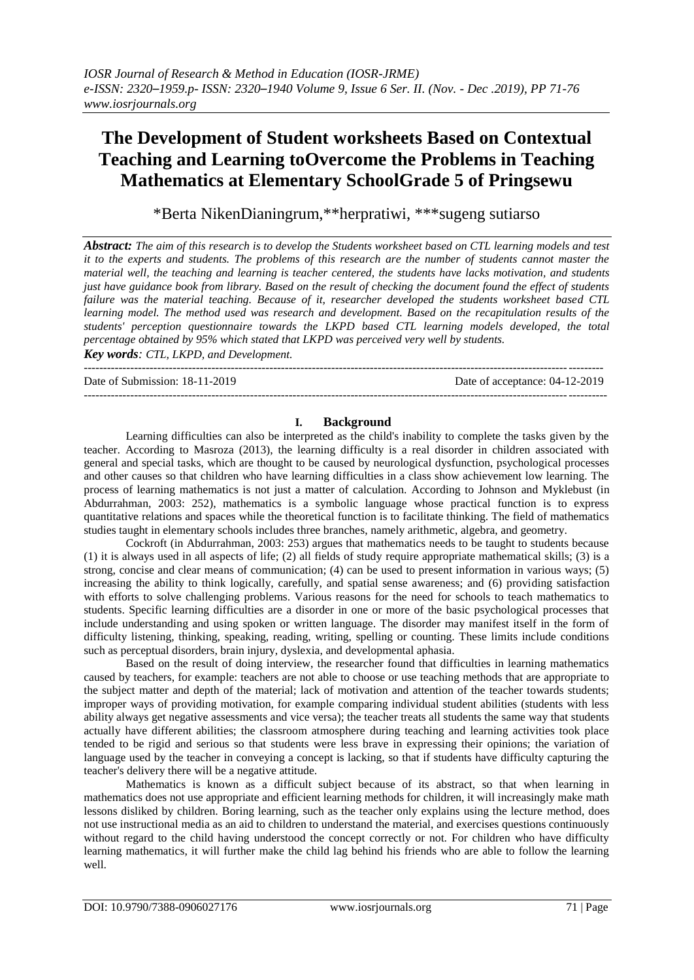# **The Development of Student worksheets Based on Contextual Teaching and Learning toOvercome the Problems in Teaching Mathematics at Elementary SchoolGrade 5 of Pringsewu**

\*Berta NikenDianingrum,\*\*herpratiwi, \*\*\*sugeng sutiarso

*Abstract: The aim of this research is to develop the Students worksheet based on CTL learning models and test it to the experts and students. The problems of this research are the number of students cannot master the material well, the teaching and learning is teacher centered, the students have lacks motivation, and students just have guidance book from library. Based on the result of checking the document found the effect of students failure was the material teaching. Because of it, researcher developed the students worksheet based CTL learning model. The method used was research and development. Based on the recapitulation results of the students' perception questionnaire towards the LKPD based CTL learning models developed, the total percentage obtained by 95% which stated that LKPD was perceived very well by students. Key words: CTL, LKPD, and Development.*

--------------------------------------------------------------------------------------------------------------------------------------

Date of Submission: 18-11-2019 Date of acceptance: 04-12-2019

## **I. Background**

---------------------------------------------------------------------------------------------------------------------------------------

Learning difficulties can also be interpreted as the child's inability to complete the tasks given by the teacher. According to Masroza (2013), the learning difficulty is a real disorder in children associated with general and special tasks, which are thought to be caused by neurological dysfunction, psychological processes and other causes so that children who have learning difficulties in a class show achievement low learning. The process of learning mathematics is not just a matter of calculation. According to Johnson and Myklebust (in Abdurrahman, 2003: 252), mathematics is a symbolic language whose practical function is to express quantitative relations and spaces while the theoretical function is to facilitate thinking. The field of mathematics studies taught in elementary schools includes three branches, namely arithmetic, algebra, and geometry.

Cockroft (in Abdurrahman, 2003: 253) argues that mathematics needs to be taught to students because (1) it is always used in all aspects of life; (2) all fields of study require appropriate mathematical skills; (3) is a strong, concise and clear means of communication; (4) can be used to present information in various ways; (5) increasing the ability to think logically, carefully, and spatial sense awareness; and (6) providing satisfaction with efforts to solve challenging problems. Various reasons for the need for schools to teach mathematics to students. Specific learning difficulties are a disorder in one or more of the basic psychological processes that include understanding and using spoken or written language. The disorder may manifest itself in the form of difficulty listening, thinking, speaking, reading, writing, spelling or counting. These limits include conditions such as perceptual disorders, brain injury, dyslexia, and developmental aphasia.

Based on the result of doing interview, the researcher found that difficulties in learning mathematics caused by teachers, for example: teachers are not able to choose or use teaching methods that are appropriate to the subject matter and depth of the material; lack of motivation and attention of the teacher towards students; improper ways of providing motivation, for example comparing individual student abilities (students with less ability always get negative assessments and vice versa); the teacher treats all students the same way that students actually have different abilities; the classroom atmosphere during teaching and learning activities took place tended to be rigid and serious so that students were less brave in expressing their opinions; the variation of language used by the teacher in conveying a concept is lacking, so that if students have difficulty capturing the teacher's delivery there will be a negative attitude.

Mathematics is known as a difficult subject because of its abstract, so that when learning in mathematics does not use appropriate and efficient learning methods for children, it will increasingly make math lessons disliked by children. Boring learning, such as the teacher only explains using the lecture method, does not use instructional media as an aid to children to understand the material, and exercises questions continuously without regard to the child having understood the concept correctly or not. For children who have difficulty learning mathematics, it will further make the child lag behind his friends who are able to follow the learning well.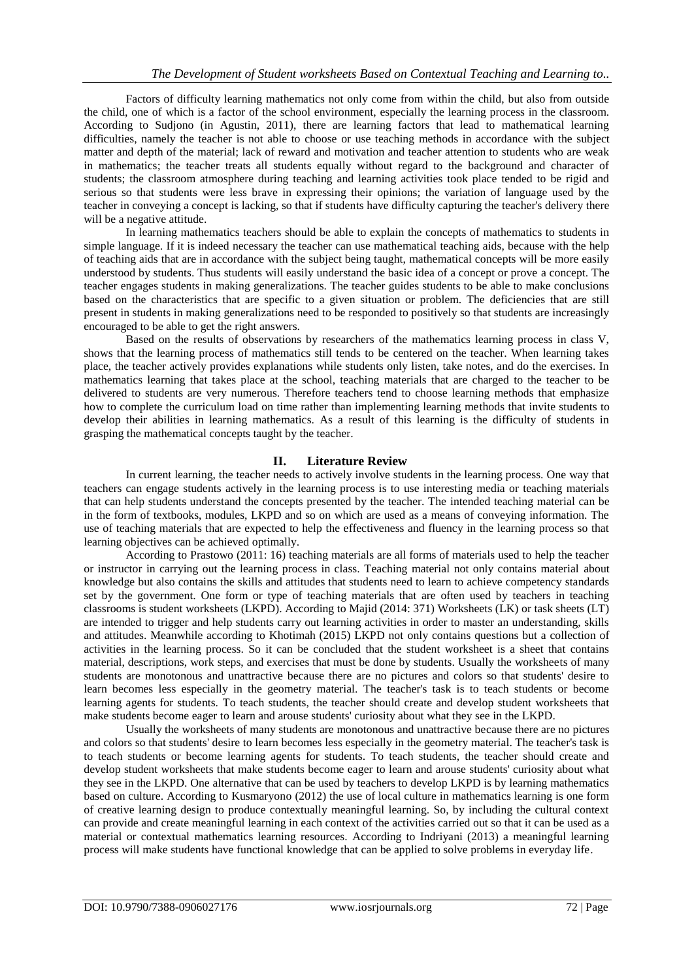Factors of difficulty learning mathematics not only come from within the child, but also from outside the child, one of which is a factor of the school environment, especially the learning process in the classroom. According to Sudjono (in Agustin, 2011), there are learning factors that lead to mathematical learning difficulties, namely the teacher is not able to choose or use teaching methods in accordance with the subject matter and depth of the material; lack of reward and motivation and teacher attention to students who are weak in mathematics; the teacher treats all students equally without regard to the background and character of students; the classroom atmosphere during teaching and learning activities took place tended to be rigid and serious so that students were less brave in expressing their opinions; the variation of language used by the teacher in conveying a concept is lacking, so that if students have difficulty capturing the teacher's delivery there will be a negative attitude.

In learning mathematics teachers should be able to explain the concepts of mathematics to students in simple language. If it is indeed necessary the teacher can use mathematical teaching aids, because with the help of teaching aids that are in accordance with the subject being taught, mathematical concepts will be more easily understood by students. Thus students will easily understand the basic idea of a concept or prove a concept. The teacher engages students in making generalizations. The teacher guides students to be able to make conclusions based on the characteristics that are specific to a given situation or problem. The deficiencies that are still present in students in making generalizations need to be responded to positively so that students are increasingly encouraged to be able to get the right answers.

Based on the results of observations by researchers of the mathematics learning process in class V, shows that the learning process of mathematics still tends to be centered on the teacher. When learning takes place, the teacher actively provides explanations while students only listen, take notes, and do the exercises. In mathematics learning that takes place at the school, teaching materials that are charged to the teacher to be delivered to students are very numerous. Therefore teachers tend to choose learning methods that emphasize how to complete the curriculum load on time rather than implementing learning methods that invite students to develop their abilities in learning mathematics. As a result of this learning is the difficulty of students in grasping the mathematical concepts taught by the teacher.

## **II. Literature Review**

In current learning, the teacher needs to actively involve students in the learning process. One way that teachers can engage students actively in the learning process is to use interesting media or teaching materials that can help students understand the concepts presented by the teacher. The intended teaching material can be in the form of textbooks, modules, LKPD and so on which are used as a means of conveying information. The use of teaching materials that are expected to help the effectiveness and fluency in the learning process so that learning objectives can be achieved optimally.

According to Prastowo (2011: 16) teaching materials are all forms of materials used to help the teacher or instructor in carrying out the learning process in class. Teaching material not only contains material about knowledge but also contains the skills and attitudes that students need to learn to achieve competency standards set by the government. One form or type of teaching materials that are often used by teachers in teaching classrooms is student worksheets (LKPD). According to Majid (2014: 371) Worksheets (LK) or task sheets (LT) are intended to trigger and help students carry out learning activities in order to master an understanding, skills and attitudes. Meanwhile according to Khotimah (2015) LKPD not only contains questions but a collection of activities in the learning process. So it can be concluded that the student worksheet is a sheet that contains material, descriptions, work steps, and exercises that must be done by students. Usually the worksheets of many students are monotonous and unattractive because there are no pictures and colors so that students' desire to learn becomes less especially in the geometry material. The teacher's task is to teach students or become learning agents for students. To teach students, the teacher should create and develop student worksheets that make students become eager to learn and arouse students' curiosity about what they see in the LKPD.

Usually the worksheets of many students are monotonous and unattractive because there are no pictures and colors so that students' desire to learn becomes less especially in the geometry material. The teacher's task is to teach students or become learning agents for students. To teach students, the teacher should create and develop student worksheets that make students become eager to learn and arouse students' curiosity about what they see in the LKPD. One alternative that can be used by teachers to develop LKPD is by learning mathematics based on culture. According to Kusmaryono (2012) the use of local culture in mathematics learning is one form of creative learning design to produce contextually meaningful learning. So, by including the cultural context can provide and create meaningful learning in each context of the activities carried out so that it can be used as a material or contextual mathematics learning resources. According to Indriyani (2013) a meaningful learning process will make students have functional knowledge that can be applied to solve problems in everyday life.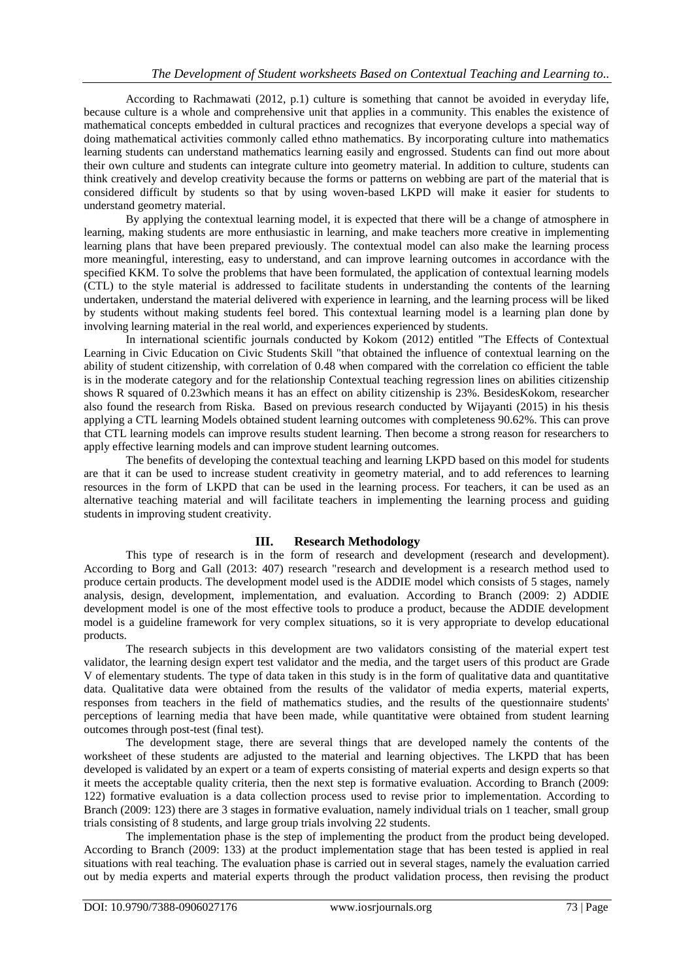According to Rachmawati (2012, p.1) culture is something that cannot be avoided in everyday life, because culture is a whole and comprehensive unit that applies in a community. This enables the existence of mathematical concepts embedded in cultural practices and recognizes that everyone develops a special way of doing mathematical activities commonly called ethno mathematics. By incorporating culture into mathematics learning students can understand mathematics learning easily and engrossed. Students can find out more about their own culture and students can integrate culture into geometry material. In addition to culture, students can think creatively and develop creativity because the forms or patterns on webbing are part of the material that is considered difficult by students so that by using woven-based LKPD will make it easier for students to understand geometry material.

By applying the contextual learning model, it is expected that there will be a change of atmosphere in learning, making students are more enthusiastic in learning, and make teachers more creative in implementing learning plans that have been prepared previously. The contextual model can also make the learning process more meaningful, interesting, easy to understand, and can improve learning outcomes in accordance with the specified KKM. To solve the problems that have been formulated, the application of contextual learning models (CTL) to the style material is addressed to facilitate students in understanding the contents of the learning undertaken, understand the material delivered with experience in learning, and the learning process will be liked by students without making students feel bored. This contextual learning model is a learning plan done by involving learning material in the real world, and experiences experienced by students.

In international scientific journals conducted by Kokom (2012) entitled "The Effects of Contextual Learning in Civic Education on Civic Students Skill "that obtained the influence of contextual learning on the ability of student citizenship, with correlation of 0.48 when compared with the correlation co efficient the table is in the moderate category and for the relationship Contextual teaching regression lines on abilities citizenship shows R squared of 0.23which means it has an effect on ability citizenship is 23%. BesidesKokom, researcher also found the research from Riska. Based on previous research conducted by Wijayanti (2015) in his thesis applying a CTL learning Models obtained student learning outcomes with completeness 90.62%. This can prove that CTL learning models can improve results student learning. Then become a strong reason for researchers to apply effective learning models and can improve student learning outcomes.

The benefits of developing the contextual teaching and learning LKPD based on this model for students are that it can be used to increase student creativity in geometry material, and to add references to learning resources in the form of LKPD that can be used in the learning process. For teachers, it can be used as an alternative teaching material and will facilitate teachers in implementing the learning process and guiding students in improving student creativity.

# **III. Research Methodology**

This type of research is in the form of research and development (research and development). According to Borg and Gall (2013: 407) research "research and development is a research method used to produce certain products. The development model used is the ADDIE model which consists of 5 stages, namely analysis, design, development, implementation, and evaluation. According to Branch (2009: 2) ADDIE development model is one of the most effective tools to produce a product, because the ADDIE development model is a guideline framework for very complex situations, so it is very appropriate to develop educational products.

The research subjects in this development are two validators consisting of the material expert test validator, the learning design expert test validator and the media, and the target users of this product are Grade V of elementary students. The type of data taken in this study is in the form of qualitative data and quantitative data. Qualitative data were obtained from the results of the validator of media experts, material experts, responses from teachers in the field of mathematics studies, and the results of the questionnaire students' perceptions of learning media that have been made, while quantitative were obtained from student learning outcomes through post-test (final test).

The development stage, there are several things that are developed namely the contents of the worksheet of these students are adjusted to the material and learning objectives. The LKPD that has been developed is validated by an expert or a team of experts consisting of material experts and design experts so that it meets the acceptable quality criteria, then the next step is formative evaluation. According to Branch (2009: 122) formative evaluation is a data collection process used to revise prior to implementation. According to Branch (2009: 123) there are 3 stages in formative evaluation, namely individual trials on 1 teacher, small group trials consisting of 8 students, and large group trials involving 22 students.

The implementation phase is the step of implementing the product from the product being developed. According to Branch (2009: 133) at the product implementation stage that has been tested is applied in real situations with real teaching. The evaluation phase is carried out in several stages, namely the evaluation carried out by media experts and material experts through the product validation process, then revising the product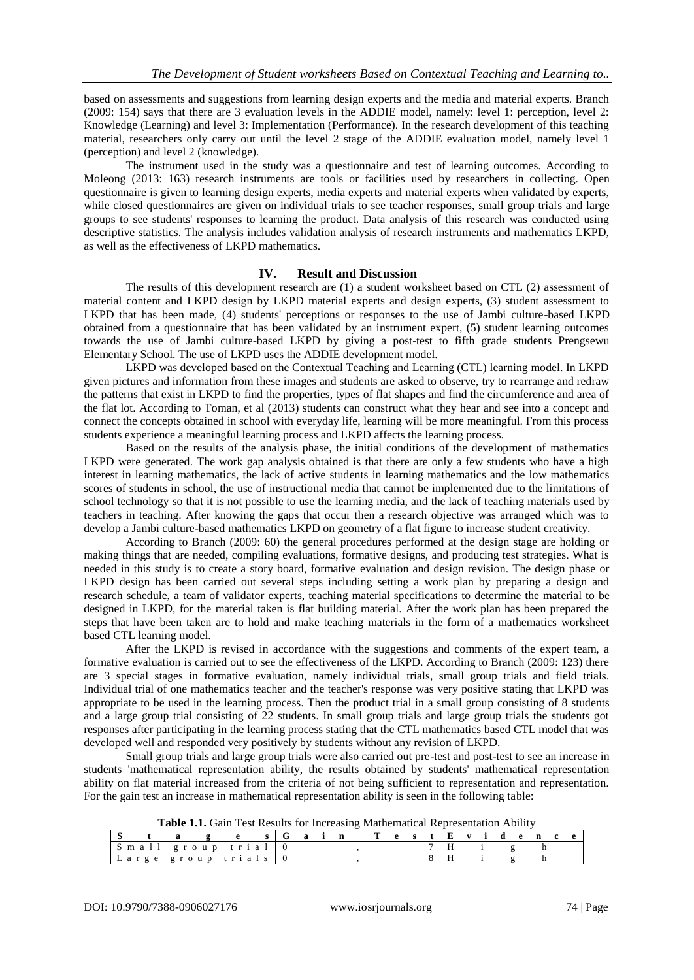based on assessments and suggestions from learning design experts and the media and material experts. Branch (2009: 154) says that there are 3 evaluation levels in the ADDIE model, namely: level 1: perception, level 2: Knowledge (Learning) and level 3: Implementation (Performance). In the research development of this teaching material, researchers only carry out until the level 2 stage of the ADDIE evaluation model, namely level 1 (perception) and level 2 (knowledge).

The instrument used in the study was a questionnaire and test of learning outcomes. According to Moleong (2013: 163) research instruments are tools or facilities used by researchers in collecting. Open questionnaire is given to learning design experts, media experts and material experts when validated by experts, while closed questionnaires are given on individual trials to see teacher responses, small group trials and large groups to see students' responses to learning the product. Data analysis of this research was conducted using descriptive statistics. The analysis includes validation analysis of research instruments and mathematics LKPD, as well as the effectiveness of LKPD mathematics.

## **IV. Result and Discussion**

The results of this development research are (1) a student worksheet based on CTL (2) assessment of material content and LKPD design by LKPD material experts and design experts, (3) student assessment to LKPD that has been made, (4) students' perceptions or responses to the use of Jambi culture-based LKPD obtained from a questionnaire that has been validated by an instrument expert, (5) student learning outcomes towards the use of Jambi culture-based LKPD by giving a post-test to fifth grade students Prengsewu Elementary School. The use of LKPD uses the ADDIE development model.

LKPD was developed based on the Contextual Teaching and Learning (CTL) learning model. In LKPD given pictures and information from these images and students are asked to observe, try to rearrange and redraw the patterns that exist in LKPD to find the properties, types of flat shapes and find the circumference and area of the flat lot. According to Toman, et al (2013) students can construct what they hear and see into a concept and connect the concepts obtained in school with everyday life, learning will be more meaningful. From this process students experience a meaningful learning process and LKPD affects the learning process.

Based on the results of the analysis phase, the initial conditions of the development of mathematics LKPD were generated. The work gap analysis obtained is that there are only a few students who have a high interest in learning mathematics, the lack of active students in learning mathematics and the low mathematics scores of students in school, the use of instructional media that cannot be implemented due to the limitations of school technology so that it is not possible to use the learning media, and the lack of teaching materials used by teachers in teaching. After knowing the gaps that occur then a research objective was arranged which was to develop a Jambi culture-based mathematics LKPD on geometry of a flat figure to increase student creativity.

According to Branch (2009: 60) the general procedures performed at the design stage are holding or making things that are needed, compiling evaluations, formative designs, and producing test strategies. What is needed in this study is to create a story board, formative evaluation and design revision. The design phase or LKPD design has been carried out several steps including setting a work plan by preparing a design and research schedule, a team of validator experts, teaching material specifications to determine the material to be designed in LKPD, for the material taken is flat building material. After the work plan has been prepared the steps that have been taken are to hold and make teaching materials in the form of a mathematics worksheet based CTL learning model.

After the LKPD is revised in accordance with the suggestions and comments of the expert team, a formative evaluation is carried out to see the effectiveness of the LKPD. According to Branch (2009: 123) there are 3 special stages in formative evaluation, namely individual trials, small group trials and field trials. Individual trial of one mathematics teacher and the teacher's response was very positive stating that LKPD was appropriate to be used in the learning process. Then the product trial in a small group consisting of 8 students and a large group trial consisting of 22 students. In small group trials and large group trials the students got responses after participating in the learning process stating that the CTL mathematics based CTL model that was developed well and responded very positively by students without any revision of LKPD.

Small group trials and large group trials were also carried out pre-test and post-test to see an increase in students 'mathematical representation ability, the results obtained by students' mathematical representation ability on flat material increased from the criteria of not being sufficient to representation and representation. For the gain test an increase in mathematical representation ability is seen in the following table:

| <b>Table 1.1.</b> Oain Test Results for Increasing Mathematical Representation Ability |  |  |                         |  |  |  |  |  |  |  |  |  |  |  |  |  |  |  |
|----------------------------------------------------------------------------------------|--|--|-------------------------|--|--|--|--|--|--|--|--|--|--|--|--|--|--|--|
|                                                                                        |  |  | g e s Gain Test Evidenc |  |  |  |  |  |  |  |  |  |  |  |  |  |  |  |
| Small group trial                                                                      |  |  |                         |  |  |  |  |  |  |  |  |  |  |  |  |  |  |  |
| Large group trials $\vert 0 \rangle$                                                   |  |  |                         |  |  |  |  |  |  |  |  |  |  |  |  |  |  |  |

**Table 1.1.** Gain Test Results for Increasing Mathematical Representation Ability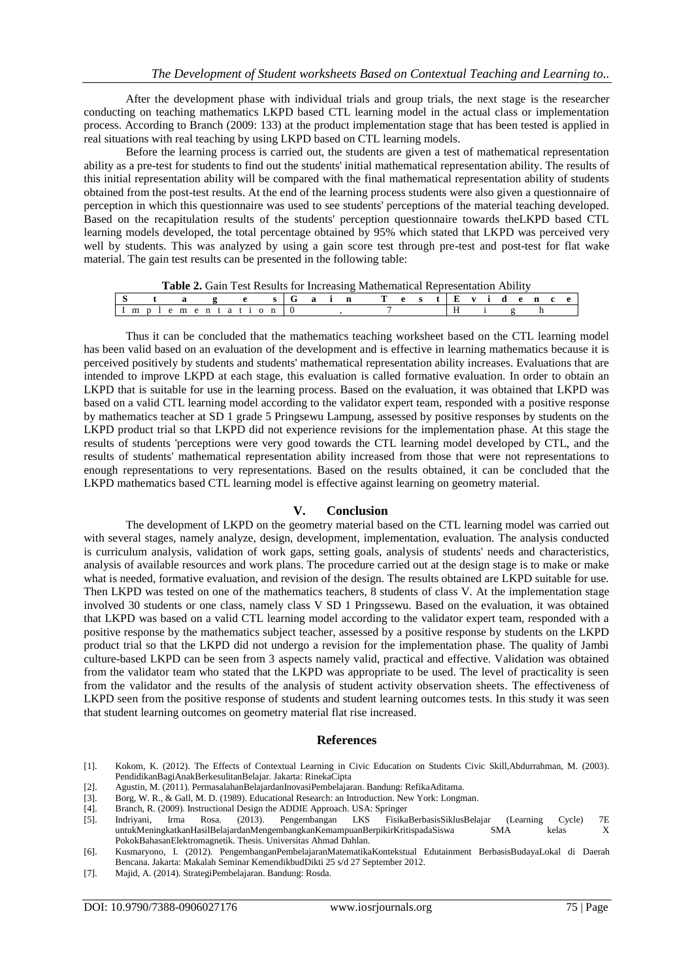After the development phase with individual trials and group trials, the next stage is the researcher conducting on teaching mathematics LKPD based CTL learning model in the actual class or implementation process. According to Branch (2009: 133) at the product implementation stage that has been tested is applied in real situations with real teaching by using LKPD based on CTL learning models.

Before the learning process is carried out, the students are given a test of mathematical representation ability as a pre-test for students to find out the students' initial mathematical representation ability. The results of this initial representation ability will be compared with the final mathematical representation ability of students obtained from the post-test results. At the end of the learning process students were also given a questionnaire of perception in which this questionnaire was used to see students' perceptions of the material teaching developed. Based on the recapitulation results of the students' perception questionnaire towards theLKPD based CTL learning models developed, the total percentage obtained by 95% which stated that LKPD was perceived very well by students. This was analyzed by using a gain score test through pre-test and post-test for flat wake material. The gain test results can be presented in the following table:

| <b>Table 2.</b> Gain Test Results for Increasing Mathematical Representation Ability |  |  |                   |  |  |  |  |  |                        |  |  |  |  |  |  |  |  |
|--------------------------------------------------------------------------------------|--|--|-------------------|--|--|--|--|--|------------------------|--|--|--|--|--|--|--|--|
|                                                                                      |  |  |                   |  |  |  |  |  | e s Gain Test Evidence |  |  |  |  |  |  |  |  |
|                                                                                      |  |  | Implementation 10 |  |  |  |  |  |                        |  |  |  |  |  |  |  |  |

Thus it can be concluded that the mathematics teaching worksheet based on the CTL learning model has been valid based on an evaluation of the development and is effective in learning mathematics because it is perceived positively by students and students' mathematical representation ability increases. Evaluations that are intended to improve LKPD at each stage, this evaluation is called formative evaluation. In order to obtain an LKPD that is suitable for use in the learning process. Based on the evaluation, it was obtained that LKPD was based on a valid CTL learning model according to the validator expert team, responded with a positive response by mathematics teacher at SD 1 grade 5 Pringsewu Lampung, assessed by positive responses by students on the LKPD product trial so that LKPD did not experience revisions for the implementation phase. At this stage the results of students 'perceptions were very good towards the CTL learning model developed by CTL, and the results of students' mathematical representation ability increased from those that were not representations to enough representations to very representations. Based on the results obtained, it can be concluded that the LKPD mathematics based CTL learning model is effective against learning on geometry material.

### **V. Conclusion**

The development of LKPD on the geometry material based on the CTL learning model was carried out with several stages, namely analyze, design, development, implementation, evaluation. The analysis conducted is curriculum analysis, validation of work gaps, setting goals, analysis of students' needs and characteristics, analysis of available resources and work plans. The procedure carried out at the design stage is to make or make what is needed, formative evaluation, and revision of the design. The results obtained are LKPD suitable for use. Then LKPD was tested on one of the mathematics teachers, 8 students of class V. At the implementation stage involved 30 students or one class, namely class V SD 1 Pringssewu. Based on the evaluation, it was obtained that LKPD was based on a valid CTL learning model according to the validator expert team, responded with a positive response by the mathematics subject teacher, assessed by a positive response by students on the LKPD product trial so that the LKPD did not undergo a revision for the implementation phase. The quality of Jambi culture-based LKPD can be seen from 3 aspects namely valid, practical and effective. Validation was obtained from the validator team who stated that the LKPD was appropriate to be used. The level of practicality is seen from the validator and the results of the analysis of student activity observation sheets. The effectiveness of LKPD seen from the positive response of students and student learning outcomes tests. In this study it was seen that student learning outcomes on geometry material flat rise increased.

### **References**

- [1]. Kokom, K. (2012). The Effects of Contextual Learning in Civic Education on Students Civic Skill,Abdurrahman, M. (2003). PendidikanBagiAnakBerkesulitanBelajar. Jakarta: RinekaCipta
- [2]. Agustin, M. (2011). PermasalahanBelajardanInovasiPembelajaran. Bandung: RefikaAditama.
- [3]. Borg, W. R., & Gall, M. D. (1989). Educational Research: an Introduction. New York: Longman.
- [4]. Branch, R. (2009). Instructional Design the ADDIE Approach. USA: Springer
- [5]. Indriyani, Irma Rosa. (2013). Pengembangan LKS FisikaBerbasisSiklusBelajar (Learning Cycle) 7E untukMeningkatkanHasilBelajardanMengembangkanKemampuanBerpikirKritispadaSiswa SMA kelas X PokokBahasanElektromagnetik. Thesis. Universitas Ahmad Dahlan.
- [6]. Kusmaryono, I. (2012). PengembanganPembelajaranMatematikaKontekstual Edutainment BerbasisBudayaLokal di Daerah Bencana. Jakarta: Makalah Seminar KemendikbudDikti 25 s/d 27 September 2012.
- [7]. Majid, A. (2014). StrategiPembelajaran. Bandung: Rosda.